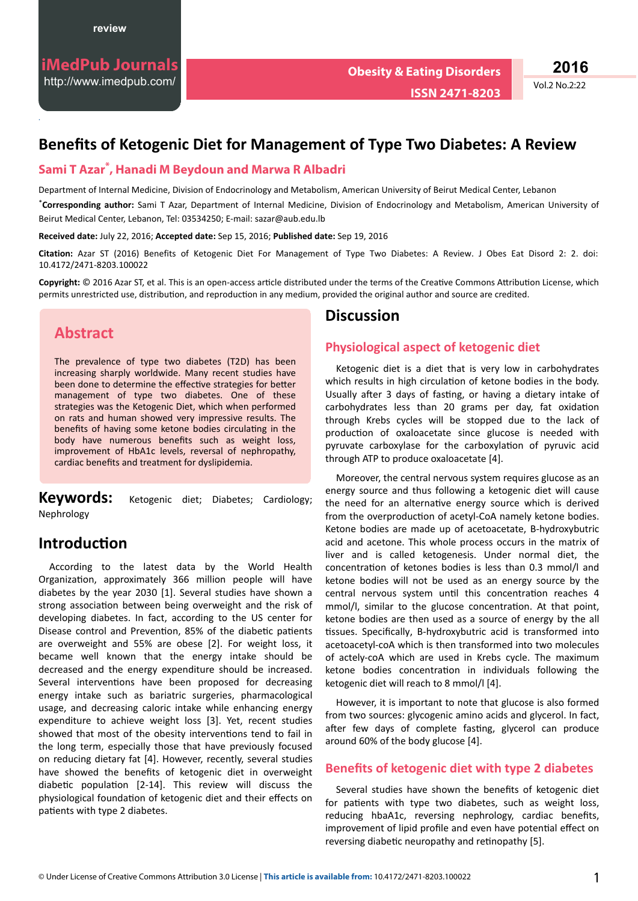.

Vol.2 No.2:22

# **Benefits of Ketogenic Diet for Management of Type Two Diabetes: A Review**

### **Sami T Azar\* , Hanadi M Beydoun and Marwa R Albadri**

Department of Internal Medicine, Division of Endocrinology and Metabolism, American University of Beirut Medical Center, Lebanon \***Corresponding author:** Sami T Azar, Department of Internal Medicine, Division of Endocrinology and Metabolism, American University of Beirut Medical Center, Lebanon, Tel: 03534250; E-mail: sazar@aub.edu.lb

**Received date:** July 22, 2016; **Accepted date:** Sep 15, 2016; **Published date:** Sep 19, 2016

Citation: Azar ST (2016) Benefits of Ketogenic Diet For Management of Type Two Diabetes: A Review. J Obes Eat Disord 2: 2. doi: [10.4172/2471-8203.100022](http://doi:%2010.4172/DDOA.100019)

Copyright: © 2016 Azar ST, et al. This is an open-access article distributed under the terms of the Creative Commons Attribution License, which permits unrestricted use, distribution, and reproduction in any medium, provided the original author and source are credited.

# **Abstract**

The prevalence of type two diabetes (T2D) has been increasing sharply worldwide. Many recent studies have been done to determine the effective strategies for better management of type two diabetes. One of these strategies was the Ketogenic Diet, which when performed on rats and human showed very impressive results. The benefits of having some ketone bodies circulating in the body have numerous benefits such as weight loss, improvement of HbA1c levels, reversal of nephropathy, cardiac benefits and treatment for dyslipidemia.

**Keywords:** Ketogenic diet; Diabetes; Cardiology; Nephrology

# **Introduction**

According to the latest data by the World Health Organization, approximately 366 million people will have diabetes by the year 2030 [1]. Several studies have shown a strong association between being overweight and the risk of developing diabetes. In fact, according to the US center for Disease control and Prevention, 85% of the diabetic patients are overweight and 55% are obese [2]. For weight loss, it became well known that the energy intake should be decreased and the energy expenditure should be increased. Several interventions have been proposed for decreasing energy intake such as bariatric surgeries, pharmacological usage, and decreasing caloric intake while enhancing energy expenditure to achieve weight loss [3]. Yet, recent studies showed that most of the obesity interventions tend to fail in the long term, especially those that have previously focused on reducing dietary fat [4]. However, recently, several studies have showed the benefits of ketogenic diet in overweight diabetic population [2-14]. This review will discuss the physiological foundation of ketogenic diet and their effects on patients with type 2 diabetes.

## **Discussion**

### **Physiological aspect of ketogenic diet**

Ketogenic diet is a diet that is very low in carbohydrates which results in high circulation of ketone bodies in the body. Usually after 3 days of fasting, or having a dietary intake of carbohydrates less than 20 grams per day, fat oxidation through Krebs cycles will be stopped due to the lack of production of oxaloacetate since glucose is needed with pyruvate carboxylase for the carboxylation of pyruvic acid through ATP to produce oxaloacetate [4].

Moreover, the central nervous system requires glucose as an energy source and thus following a ketogenic diet will cause the need for an alternative energy source which is derived from the overproduction of acetyl-CoA namely ketone bodies. Ketone bodies are made up of acetoacetate, B-hydroxybutric acid and acetone. This whole process occurs in the matrix of liver and is called ketogenesis. Under normal diet, the concentration of ketones bodies is less than 0.3 mmol/l and ketone bodies will not be used as an energy source by the central nervous system until this concentration reaches 4 mmol/l, similar to the glucose concentration. At that point, ketone bodies are then used as a source of energy by the all tissues. Specifically, B-hydroxybutric acid is transformed into acetoacetyl-coA which is then transformed into two molecules of actely-coA which are used in Krebs cycle. The maximum ketone bodies concentration in individuals following the ketogenic diet will reach to 8 mmol/l [4].

However, it is important to note that glucose is also formed from two sources: glycogenic amino acids and glycerol. In fact, after few days of complete fasting, glycerol can produce around 60% of the body glucose [4].

### **Benefits of ketogenic diet with type 2 diabetes**

Several studies have shown the benefits of ketogenic diet for patients with type two diabetes, such as weight loss, reducing hbaA1c, reversing nephrology, cardiac benefits, improvement of lipid profile and even have potential effect on reversing diabetic neuropathy and retinopathy [5].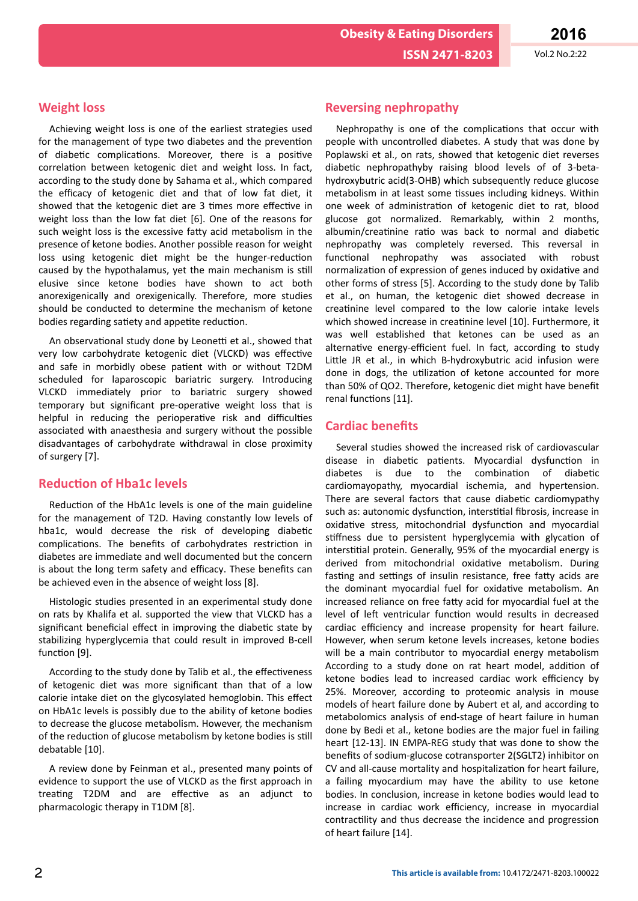**Obesity & Eating Disorders**

**Weight loss**

Achieving weight loss is one of the earliest strategies used for the management of type two diabetes and the prevention of diabetic complications. Moreover, there is a positive correlation between ketogenic diet and weight loss. In fact, according to the study done by Sahama et al., which compared the efficacy of ketogenic diet and that of low fat diet, it showed that the ketogenic diet are 3 times more effective in weight loss than the low fat diet [6]. One of the reasons for such weight loss is the excessive fatty acid metabolism in the presence of ketone bodies. Another possible reason for weight loss using ketogenic diet might be the hunger-reduction caused by the hypothalamus, yet the main mechanism is still elusive since ketone bodies have shown to act both anorexigenically and orexigenically. Therefore, more studies should be conducted to determine the mechanism of ketone bodies regarding satiety and appetite reduction.

An observational study done by Leonetti et al., showed that very low carbohydrate ketogenic diet (VLCKD) was effective and safe in morbidly obese patient with or without T2DM scheduled for laparoscopic bariatric surgery. Introducing VLCKD immediately prior to bariatric surgery showed temporary but significant pre-operative weight loss that is helpful in reducing the perioperative risk and difficulties associated with anaesthesia and surgery without the possible disadvantages of carbohydrate withdrawal in close proximity of surgery [7].

#### **Reduction of Hba1c levels**

Reduction of the HbA1c levels is one of the main guideline for the management of T2D. Having constantly low levels of hba1c, would decrease the risk of developing diabetic complications. The benefits of carbohydrates restriction in diabetes are immediate and well documented but the concern is about the long term safety and efficacy. These benefits can be achieved even in the absence of weight loss [8].

Histologic studies presented in an experimental study done on rats by Khalifa et al. supported the view that VLCKD has a significant beneficial effect in improving the diabetic state by stabilizing hyperglycemia that could result in improved B-cell function [9].

According to the study done by Talib et al., the effectiveness of ketogenic diet was more significant than that of a low calorie intake diet on the glycosylated hemoglobin. This effect on HbA1c levels is possibly due to the ability of ketone bodies to decrease the glucose metabolism. However, the mechanism of the reduction of glucose metabolism by ketone bodies is still debatable [10].

A review done by Feinman et al., presented many points of evidence to support the use of VLCKD as the first approach in treating T2DM and are effective as an adjunct to pharmacologic therapy in T1DM [8].

#### **Reversing nephropathy**

Nephropathy is one of the complications that occur with people with uncontrolled diabetes. A study that was done by Poplawski et al., on rats, showed that ketogenic diet reverses diabetic nephropathyby raising blood levels of of 3-betahydroxybutric acid(3-OHB) which subsequently reduce glucose metabolism in at least some tissues including kidneys. Within one week of administration of ketogenic diet to rat, blood glucose got normalized. Remarkably, within 2 months, albumin/creatinine ratio was back to normal and diabetic nephropathy was completely reversed. This reversal in functional nephropathy was associated with robust normalization of expression of genes induced by oxidative and other forms of stress [5]. According to the study done by Talib et al., on human, the ketogenic diet showed decrease in creatinine level compared to the low calorie intake levels which showed increase in creatinine level [10]. Furthermore, it was well established that ketones can be used as an alternative energy-efficient fuel. In fact, according to study Little JR et al., in which B-hydroxybutric acid infusion were done in dogs, the utilization of ketone accounted for more than 50% of QO2. Therefore, ketogenic diet might have benefit renal functions [11].

#### **Cardiac benefits**

Several studies showed the increased risk of cardiovascular disease in diabetic patients. Myocardial dysfunction in diabetes is due to the combination of diabetic cardiomayopathy, myocardial ischemia, and hypertension. There are several factors that cause diabetic cardiomypathy such as: autonomic dysfunction, interstitial fibrosis, increase in oxidative stress, mitochondrial dysfunction and myocardial stiffness due to persistent hyperglycemia with glycation of interstitial protein. Generally, 95% of the myocardial energy is derived from mitochondrial oxidative metabolism. During fasting and settings of insulin resistance, free fatty acids are the dominant myocardial fuel for oxidative metabolism. An increased reliance on free fatty acid for myocardial fuel at the level of left ventricular function would results in decreased cardiac efficiency and increase propensity for heart failure. However, when serum ketone levels increases, ketone bodies will be a main contributor to myocardial energy metabolism According to a study done on rat heart model, addition of ketone bodies lead to increased cardiac work efficiency by 25%. Moreover, according to proteomic analysis in mouse models of heart failure done by Aubert et al, and according to metabolomics analysis of end-stage of heart failure in human done by Bedi et al., ketone bodies are the major fuel in failing heart [12-13]. IN EMPA-REG study that was done to show the benefits of sodium-glucose cotransporter 2(SGLT2) inhibitor on CV and all-cause mortality and hospitalization for heart failure, a failing myocardium may have the ability to use ketone bodies. In conclusion, increase in ketone bodies would lead to increase in cardiac work efficiency, increase in myocardial contractility and thus decrease the incidence and progression of heart failure [14].